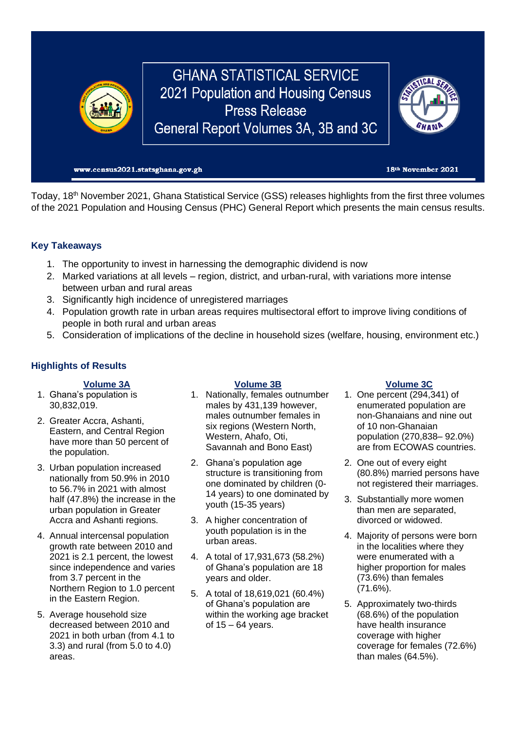

Today, 18<sup>th</sup> November 2021, Ghana Statistical Service (GSS) releases highlights from the first three volumes of the 2021 Population and Housing Census (PHC) General Report which presents the main census results.

# **Key Takeaways**

- 1. The opportunity to invest in harnessing the demographic dividend is now
- 2. Marked variations at all levels region, district, and urban-rural, with variations more intense between urban and rural areas
- 3. Significantly high incidence of unregistered marriages
- 4. Population growth rate in urban areas requires multisectoral effort to improve living conditions of people in both rural and urban areas
- 5. Consideration of implications of the decline in household sizes (welfare, housing, environment etc.)

## **Highlights of Results**

- 1. Ghana's population is 30,832,019.
- 2. Greater Accra, Ashanti, Eastern, and Central Region have more than 50 percent of the population.
- 3. Urban population increased nationally from 50.9% in 2010 to 56.7% in 2021 with almost half (47.8%) the increase in the urban population in Greater Accra and Ashanti regions.
- 4. Annual intercensal population growth rate between 2010 and 2021 is 2.1 percent, the lowest since independence and varies from 3.7 percent in the Northern Region to 1.0 percent in the Eastern Region.
- 5. Average household size decreased between 2010 and 2021 in both urban (from 4.1 to 3.3) and rural (from 5.0 to 4.0) areas.

- 1. Nationally, females outnumber males by 431,139 however, males outnumber females in six regions (Western North, Western, Ahafo, Oti, Savannah and Bono East)
- 2. Ghana's population age structure is transitioning from one dominated by children (0- 14 years) to one dominated by youth (15-35 years)
- 3. A higher concentration of youth population is in the urban areas.
- 4. A total of 17,931,673 (58.2%) of Ghana's population are 18 years and older.
- 5. A total of 18,619,021 (60.4%) of Ghana's population are within the working age bracket of 15 – 64 years.

## **Volume 3A Volume 3B Volume 3C**

- 1. One percent (294,341) of enumerated population are non-Ghanaians and nine out of 10 non-Ghanaian population (270,838– 92.0%) are from ECOWAS countries.
- 2. One out of every eight (80.8%) married persons have not registered their marriages.
- 3. Substantially more women than men are separated, divorced or widowed.
- 4. Majority of persons were born in the localities where they were enumerated with a higher proportion for males (73.6%) than females (71.6%).
- 5. Approximately two-thirds (68.6%) of the population have health insurance coverage with higher coverage for females (72.6%) than males (64.5%).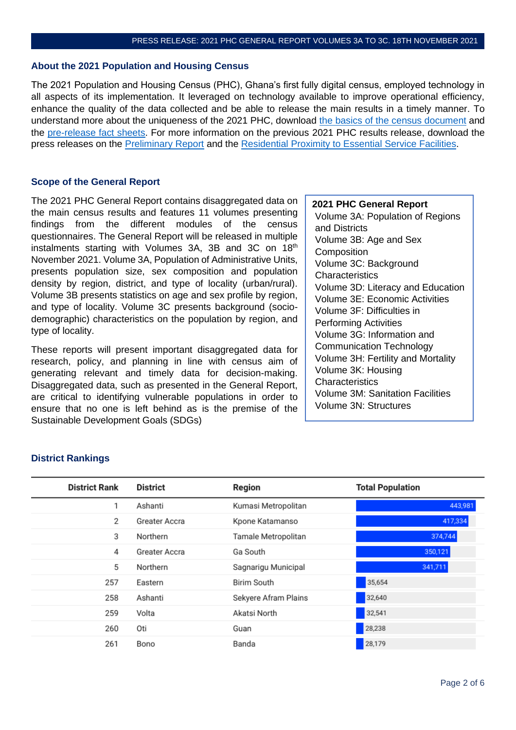### **About the 2021 Population and Housing Census**

The 2021 Population and Housing Census (PHC), Ghana's first fully digital census, employed technology in all aspects of its implementation. It leveraged on technology available to improve operational efficiency, enhance the quality of the data collected and be able to release the main results in a timely manner. To understand more about the uniqueness of the 2021 PHC, download [the basics of the census document](https://census2021.statsghana.gov.gh/gssmain/fileUpload/pressrelease/Basics%20of%20the%20census.pdf) and the [pre-release fact sheets.](https://census2021.statsghana.gov.gh/resources.php?readpage=MjU4NjM1OTE5Ni44OTc=&FactSheets) For more information on the previous 2021 PHC results release, download the press releases on the [Preliminary Report](https://census2021.statsghana.gov.gh/presspage.php?readmorenews=MTQ1MTUyODEyMC43MDc1&Press-Release-on-Provisional-Results) and the [Residential Proximity to Essential Service Facilities.](https://census2021.statsghana.gov.gh/presspage.php?readmorenews=MTYwOTg3NjY0Mi45NjY1&2021-PHC-Residential-Proximity-to-Essential-Service-Facilities-Report)

## **Scope of the General Report**

The 2021 PHC General Report contains disaggregated data on the main census results and features 11 volumes presenting findings from the different modules of the census questionnaires. The General Report will be released in multiple instalments starting with Volumes 3A, 3B and 3C on 18<sup>th</sup> November 2021. Volume 3A, Population of Administrative Units, presents population size, sex composition and population density by region, district, and type of locality (urban/rural). Volume 3B presents statistics on age and sex profile by region, and type of locality. Volume 3C presents background (sociodemographic) characteristics on the population by region, and type of locality.

These reports will present important disaggregated data for research, policy, and planning in line with census aim of generating relevant and timely data for decision-making. Disaggregated data, such as presented in the General Report, are critical to identifying vulnerable populations in order to ensure that no one is left behind as is the premise of the Sustainable Development Goals (SDGs)

## **2021 PHC General Report**

Volume 3A: Population of Regions and Districts Volume 3B: Age and Sex **Composition** Volume 3C: Background **Characteristics** Volume 3D: Literacy and Education Volume 3E: Economic Activities Volume 3F: Difficulties in Performing Activities Volume 3G: Information and Communication Technology Volume 3H: Fertility and Mortality Volume 3K: Housing **Characteristics** Volume 3M: Sanitation Facilities Volume 3N: Structures

| <b>District Rank</b> | <b>District</b> | Region               | <b>Total Population</b> |
|----------------------|-----------------|----------------------|-------------------------|
| 1                    | Ashanti         | Kumasi Metropolitan  | 443,981                 |
| 2                    | Greater Accra   | Kpone Katamanso      | 417,334                 |
| 3                    | Northern        | Tamale Metropolitan  | 374,744                 |
| 4                    | Greater Accra   | Ga South             | 350,121                 |
| 5                    | Northern        | Sagnarigu Municipal  | 341,711                 |
| 257                  | Eastern         | <b>Birim South</b>   | 35,654                  |
| 258                  | Ashanti         | Sekyere Afram Plains | 32,640                  |
| 259                  | Volta           | Akatsi North         | 32,541                  |
| 260                  | Oti             | Guan                 | 28,238                  |
| 261                  | Bono            | Banda                | 28,179                  |

## **District Rankings**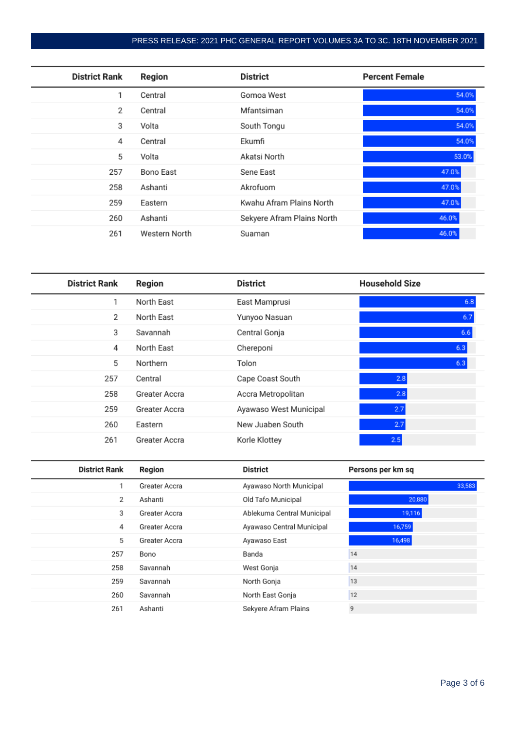# PRESS RELEASE: 2021 PHC GENERAL REPORT VOLUMES 3A TO 3C. 18TH NOVEMBER 2021

| <b>District Rank</b> | Region        | District                   | <b>Percent Female</b> |
|----------------------|---------------|----------------------------|-----------------------|
| 1                    | Central       | Gomoa West                 | 54.0%                 |
| 2                    | Central       | Mfantsiman                 | 54.0%                 |
| 3                    | Volta         | South Tongu                | 54.0%                 |
| 4                    | Central       | Ekumfi                     | 54.0%                 |
| 5                    | Volta         | Akatsi North               | 53.0%                 |
| 257                  | Bono East     | Sene East                  | 47.0%                 |
| 258                  | Ashanti       | Akrofuom                   | 47.0%                 |
| 259                  | Eastern       | Kwahu Afram Plains North   | 47.0%                 |
| 260                  | Ashanti       | Sekyere Afram Plains North | 46.0%                 |
| 261                  | Western North | Suaman                     | 46.0%                 |

| <b>District Rank</b> | Region        | <b>District</b>        | <b>Household Size</b> |
|----------------------|---------------|------------------------|-----------------------|
| 1                    | North East    | East Mamprusi          | 6.8                   |
| 2                    | North East    | Yunyoo Nasuan          | 6.7                   |
| 3                    | Savannah      | Central Gonja          | 6.6                   |
| 4                    | North East    | Chereponi              | 6.3                   |
| 5                    | Northern      | Tolon                  | 6.3                   |
| 257                  | Central       | Cape Coast South       | 2.8                   |
| 258                  | Greater Accra | Accra Metropolitan     | 2.8                   |
| 259                  | Greater Accra | Ayawaso West Municipal | 2.7                   |
| 260                  | Eastern       | New Juaben South       | 2.7                   |
| 261                  | Greater Accra | Korle Klottey          | 2.5                   |

| <b>District Rank</b> | Region        | <b>District</b>            | Persons per km sq |
|----------------------|---------------|----------------------------|-------------------|
|                      | Greater Accra | Ayawaso North Municipal    | 33,583            |
| 2                    | Ashanti       | Old Tafo Municipal         | 20,880            |
| 3                    | Greater Accra | Ablekuma Central Municipal | 19,116            |
| 4                    | Greater Accra | Ayawaso Central Municipal  | 16,759            |
| 5                    | Greater Accra | Ayawaso East               | 16,498            |
| 257                  | Bono          | Banda                      | 14                |
| 258                  | Savannah      | West Gonja                 | 14                |
| 259                  | Savannah      | North Gonja                | 13                |
| 260                  | Savannah      | North East Gonja           | 12                |
| 261                  | Ashanti       | Sekyere Afram Plains       | 9                 |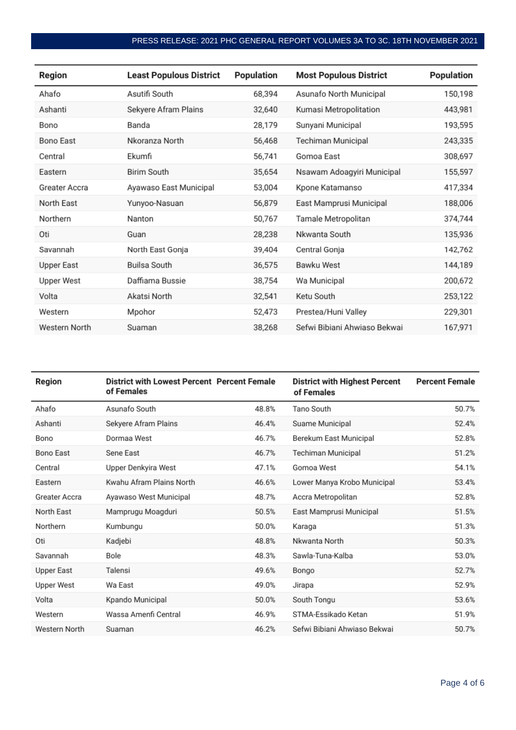# PRESS RELEASE: 2021 PHC GENERAL REPORT VOLUMES 3A TO 3C. 18TH NOVEMBER 2021

| Region        | <b>Least Populous District</b> | Population | <b>Most Populous District</b> | Population |
|---------------|--------------------------------|------------|-------------------------------|------------|
| Ahafo         | Asutifi South                  | 68,394     | Asunafo North Municipal       | 150,198    |
| Ashanti       | Sekyere Afram Plains           | 32,640     | Kumasi Metropolitation        | 443,981    |
| Bono          | Banda                          | 28,179     | Sunyani Municipal             | 193,595    |
| Bono East     | Nkoranza North                 | 56,468     | Techiman Municipal            | 243,335    |
| Central       | Ekumfi                         | 56,741     | Gomoa East                    | 308,697    |
| Eastern       | <b>Birim South</b>             | 35,654     | Nsawam Adoagyiri Municipal    | 155,597    |
| Greater Accra | Ayawaso East Municipal         | 53,004     | Kpone Katamanso               | 417,334    |
| North East    | Yunyoo-Nasuan                  | 56,879     | East Mamprusi Municipal       | 188,006    |
| Northern      | Nanton                         | 50,767     | Tamale Metropolitan           | 374,744    |
| Oti           | Guan                           | 28,238     | Nkwanta South                 | 135,936    |
| Savannah      | North East Gonja               | 39,404     | Central Gonja                 | 142,762    |
| Upper East    | Builsa South                   | 36,575     | Bawku West                    | 144,189    |
| Upper West    | Daffiama Bussie                | 38,754     | Wa Municipal                  | 200,672    |
| Volta         | Akatsi North                   | 32,541     | Ketu South                    | 253,122    |
| Western       | Mpohor                         | 52,473     | Prestea/Huni Valley           | 229,301    |
| Western North | Suaman                         | 38,268     | Sefwi Bibiani Ahwiaso Bekwai  | 167,971    |

| Region        | District with Lowest Percent Percent Female<br>of Females |       | <b>District with Highest Percent</b><br>of Females | <b>Percent Female</b> |
|---------------|-----------------------------------------------------------|-------|----------------------------------------------------|-----------------------|
| Ahafo         | Asunafo South                                             | 48.8% | Tano South                                         | 50.7%                 |
| Ashanti       | Sekyere Afram Plains                                      | 46.4% | Suame Municipal                                    | 52.4%                 |
| Bono          | Dormaa West                                               | 46.7% | Berekum East Municipal                             | 52.8%                 |
| Bono East     | Sene East                                                 | 46.7% | Techiman Municipal                                 | 51.2%                 |
| Central       | Upper Denkyira West                                       | 47.1% | Gomoa West                                         | 54.1%                 |
| Eastern       | Kwahu Afram Plains North                                  | 46.6% | Lower Manya Krobo Municipal                        | 53.4%                 |
| Greater Accra | Ayawaso West Municipal                                    | 48.7% | Accra Metropolitan                                 | 52.8%                 |
| North East    | Mamprugu Moagduri                                         | 50.5% | East Mamprusi Municipal                            | 51.5%                 |
| Northern      | Kumbungu                                                  | 50.0% | Karaga                                             | 51.3%                 |
| Oti           | Kadjebi                                                   | 48.8% | Nkwanta North                                      | 50.3%                 |
| Savannah      | Bole                                                      | 48.3% | Sawla-Tuna-Kalba                                   | 53.0%                 |
| Upper East    | Talensi                                                   | 49.6% | Bongo                                              | 52.7%                 |
| Upper West    | Wa East                                                   | 49.0% | Jirapa                                             | 52.9%                 |
| Volta         | Kpando Municipal                                          | 50.0% | South Tongu                                        | 53.6%                 |
| Western       | Wassa Amenfi Central                                      | 46.9% | STMA-Essikado Ketan                                | 51.9%                 |
| Western North | Suaman                                                    | 46.2% | Sefwi Bibiani Ahwiaso Bekwai                       | 50.7%                 |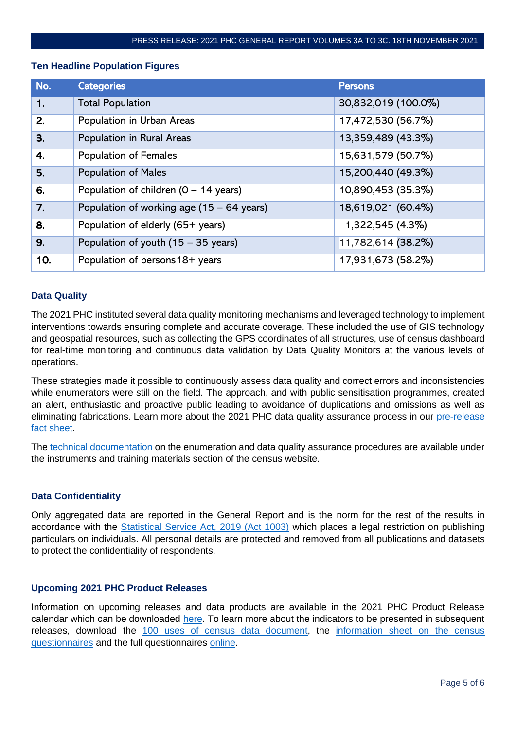## **Ten Headline Population Figures**

| No. | <b>Categories</b>                                   | <b>Persons</b>      |
|-----|-----------------------------------------------------|---------------------|
| 1.  | <b>Total Population</b>                             | 30,832,019 (100.0%) |
| 2.  | Population in Urban Areas                           | 17,472,530 (56.7%)  |
| 3.  | Population in Rural Areas                           | 13,359,489 (43.3%)  |
| 4.  | <b>Population of Females</b>                        | 15,631,579 (50.7%)  |
| 5.  | <b>Population of Males</b>                          | 15,200,440 (49.3%)  |
| 6.  | Population of children $(0 - 14$ years)             | 10,890,453 (35.3%)  |
| 7.  | Population of working age $(15 - 64 \text{ years})$ | 18,619,021 (60.4%)  |
| 8.  | Population of elderly (65+ years)                   | 1,322,545 (4.3%)    |
| 9.  | Population of youth (15 - 35 years)                 | 11,782,614 (38.2%)  |
| 10. | Population of persons 18+ years                     | 17,931,673 (58.2%)  |

## **Data Quality**

The 2021 PHC instituted several data quality monitoring mechanisms and leveraged technology to implement interventions towards ensuring complete and accurate coverage. These included the use of GIS technology and geospatial resources, such as collecting the GPS coordinates of all structures, use of census dashboard for real-time monitoring and continuous data validation by Data Quality Monitors at the various levels of operations.

These strategies made it possible to continuously assess data quality and correct errors and inconsistencies while enumerators were still on the field. The approach, and with public sensitisation programmes, created an alert, enthusiastic and proactive public leading to avoidance of duplications and omissions as well as eliminating fabrications. Learn more about the 2021 PHC data quality assurance process in our pre-release [fact sheet.](https://census2021.statsghana.gov.gh/gssmain/fileUpload/pressrelease/2021%20PHC%20fact%20sheet_Data%20quality%20assurance_210921.pdf)

The [technical documentation](https://census2021.statsghana.gov.gh/resources.php?readpage=MjM0ODgzNjQxMy41MDg1&Instruments-and-training-materials) on the enumeration and data quality assurance procedures are available under the instruments and training materials section of the census website.

## **Data Confidentiality**

Only aggregated data are reported in the General Report and is the norm for the rest of the results in accordance with the [Statistical Service Act, 2019 \(Act 1003\)](https://www.statsghana.gov.gh/gssmain/storage/img/STATISTICAL%20SERVICE%20ACT,%202019%20(ACT%201003).pdf) which places a legal restriction on publishing particulars on individuals. All personal details are protected and removed from all publications and datasets to protect the confidentiality of respondents.

## **Upcoming 2021 PHC Product Releases**

Information on upcoming releases and data products are available in the 2021 PHC Product Release calendar which can be downloaded [here.](https://statsghana.gov.gh/gssmain/storage/img/infobank/2021%20PHC%20Release%20Calendar_140921.pdf) To learn more about the indicators to be presented in subsequent releases, download the [100 uses of census data document,](https://census2021.statsghana.gov.gh/gssmain/fileUpload/pressrelease/100%20uses%20of%20census%20data.pdf) the information sheet on the census [questionnaires](https://census2021.statsghana.gov.gh/gssmain/fileUpload/pressrelease/2021%20PHC%20Information%20Sheet%20on%20the%20Census%20Questionnaires.pdf) and the full questionnaires [online.](https://census2021.statsghana.gov.gh/gssmain/fileUpload/pressrelease/2021%20PHC%20Questionnaires.pdf)